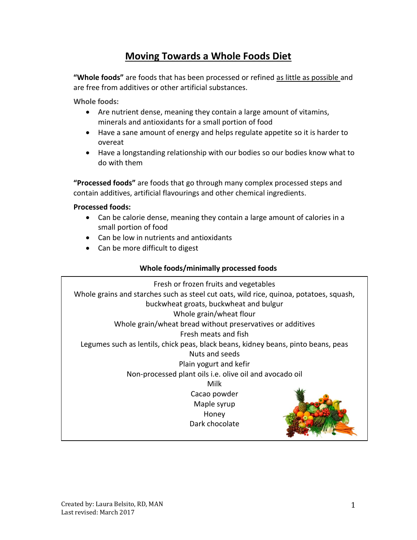# **Moving Towards a Whole Foods Diet**

**"Whole foods"** are foods that has been processed or refined as little as possible and are free from additives or other artificial substances.

**Whole foods:**

- Are nutrient dense, meaning they contain a large amount of vitamins, minerals and antioxidants for a small portion of food
- Have a sane amount of energy and helps regulate appetite so it is harder to overeat
- Have a longstanding relationship with our bodies so our bodies know what to do with them

**"Processed foods"** are foods that go through many complex processed steps and contain additives, artificial flavourings and other chemical ingredients.

## **Processed foods:**

- Can be calorie dense, meaning they contain a large amount of calories in a small portion of food
- Can be low in nutrients and antioxidants
- Can be more difficult to digest

## **Whole foods/minimally processed foods**

Fresh or frozen fruits and vegetables Whole grains and starches such as steel cut oats, wild rice, quinoa, potatoes, squash, buckwheat groats, buckwheat and bulgur Whole grain/wheat flour Whole grain/wheat bread without preservatives or additives Fresh meats and fish Legumes such as lentils, chick peas, black beans, kidney beans, pinto beans, peas Nuts and seeds Plain yogurt and kefir Non-processed plant oils i.e. olive oil and avocado oil Milk Cacao powder Maple syrup Honey Dark chocolate